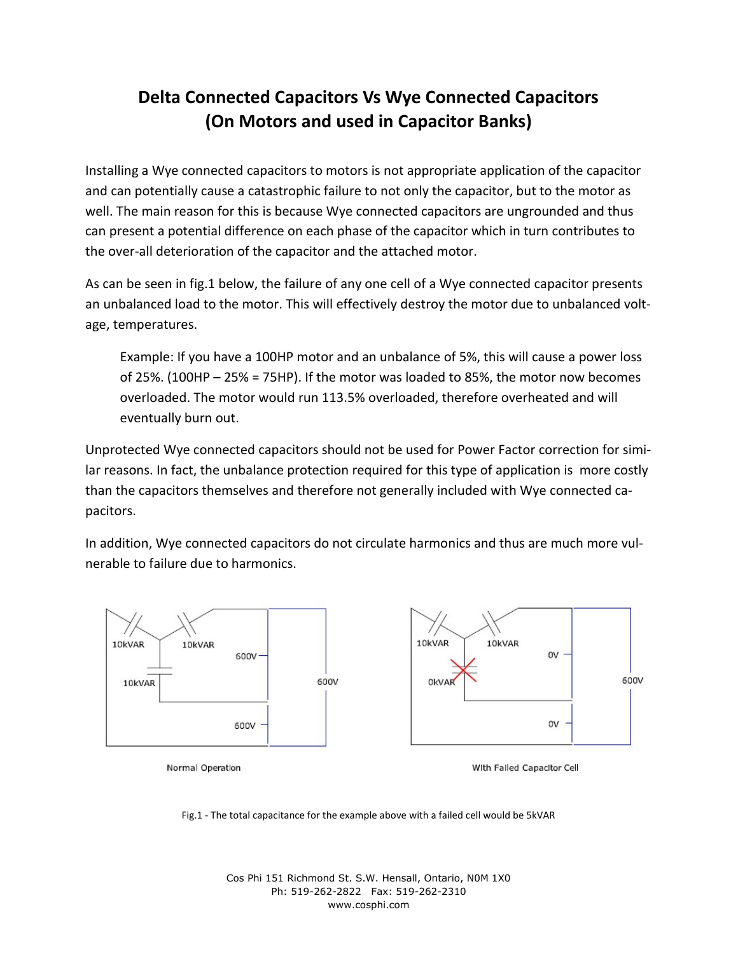## **Delta Connected Capacitors Vs Wye Connected Capacitors (On Motors and used in Capacitor Banks)**

Installing a Wye connected capacitors to motors is not appropriate application of the capacitor and can potentially cause a catastrophic failure to not only the capacitor, but to the motor as well. The main reason for this is because Wye connected capacitors are ungrounded and thus can present a potential difference on each phase of the capacitor which in turn contributes to the over-all deterioration of the capacitor and the attached motor.

As can be seen in fig.1 below, the failure of any one cell of a Wye connected capacitor presents an unbalanced load to the motor. This will effectively destroy the motor due to unbalanced voltage, temperatures.

Example: If you have a 100HP motor and an unbalance of 5%, this will cause a power loss of 25%. (100HP – 25% = 75HP). If the motor was loaded to 85%, the motor now becomes overloaded. The motor would run 113.5% overloaded, therefore overheated and will eventually burn out.

Unprotected Wye connected capacitors should not be used for Power Factor correction for similar reasons. In fact, the unbalance protection required for this type of application is more costly than the capacitors themselves and therefore not generally included with Wye connected capacitors.

In addition, Wye connected capacitors do not circulate harmonics and thus are much more vulnerable to failure due to harmonics.



Fig.1 - The total capacitance for the example above with a failed cell would be 5kVAR

Cos Phi 151 Richmond St. S.W. Hensall, Ontario, N0M 1X0 Ph: 519-262-2822 Fax: 519-262-2310 www.cosphi.com